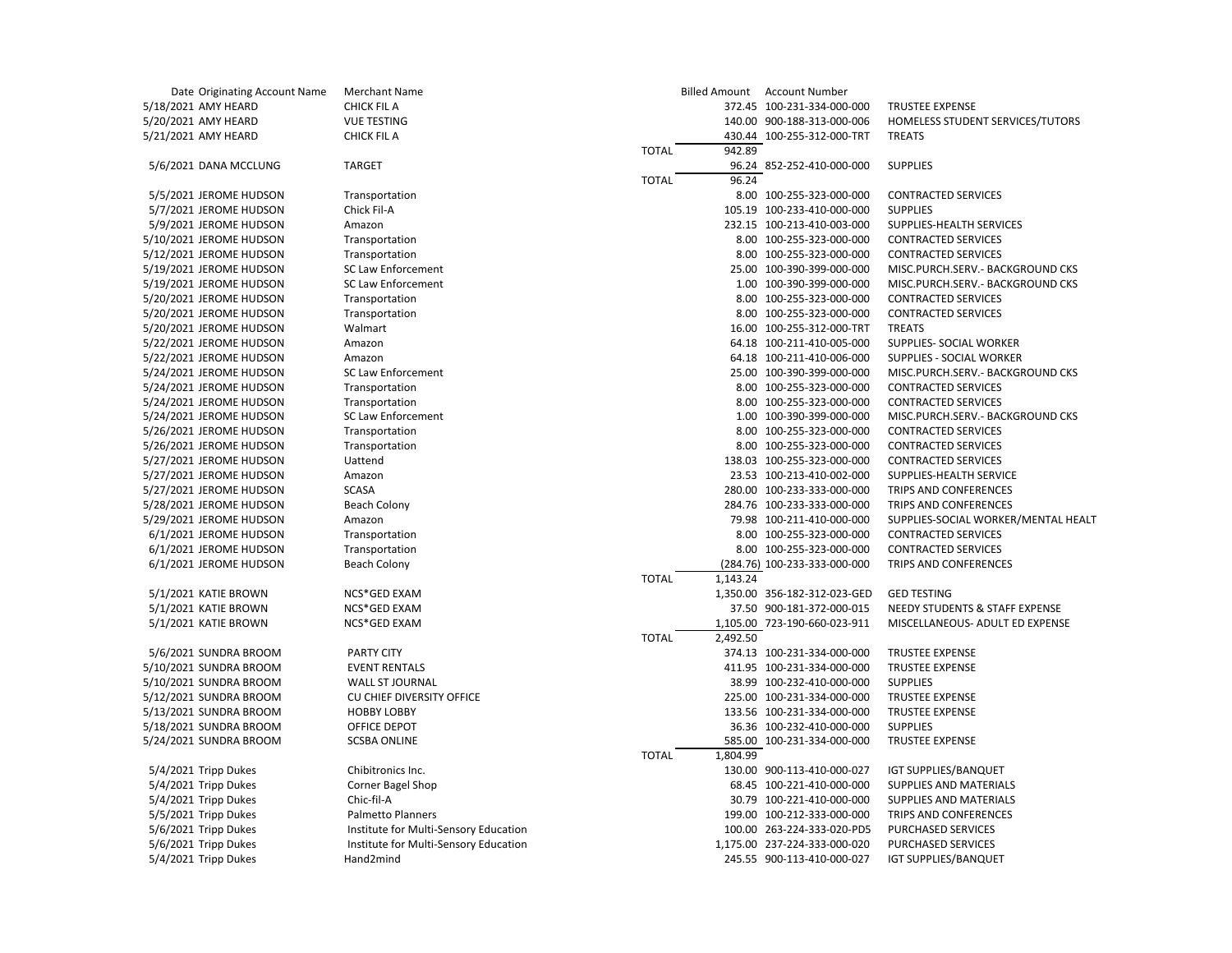| Date Originating Account Name | <b>Merchant Name</b>                   |              |          | Billed Amount Account Number |                                                |
|-------------------------------|----------------------------------------|--------------|----------|------------------------------|------------------------------------------------|
| 5/18/2021 AMY HEARD           | CHICK FIL A                            |              |          | 372.45 100-231-334-000-000   | <b>TRUSTEE EXPENSE</b>                         |
| 5/20/2021 AMY HEARD           | <b>VUE TESTING</b>                     |              |          | 140.00 900-188-313-000-006   | HOMELESS STUDENT SERVICES/TUTORS               |
| 5/21/2021 AMY HEARD           | <b>CHICK FIL A</b>                     |              |          | 430.44 100-255-312-000-TRT   | <b>TREATS</b>                                  |
|                               |                                        | <b>TOTAL</b> | 942.89   |                              |                                                |
| 5/6/2021 DANA MCCLUNG         | <b>TARGET</b>                          |              |          | 96.24 852-252-410-000-000    | <b>SUPPLIES</b>                                |
|                               |                                        | <b>TOTAL</b> | 96.24    |                              |                                                |
| 5/5/2021 JEROME HUDSON        | Transportation                         |              |          | 8.00 100-255-323-000-000     | <b>CONTRACTED SERVICES</b>                     |
| 5/7/2021 JEROME HUDSON        | Chick Fil-A                            |              |          | 105.19 100-233-410-000-000   | <b>SUPPLIES</b>                                |
| 5/9/2021 JEROME HUDSON        | Amazon                                 |              |          | 232.15 100-213-410-003-000   | SUPPLIES-HEALTH SERVICES                       |
| 5/10/2021 JEROME HUDSON       | Transportation                         |              |          | 8.00 100-255-323-000-000     | <b>CONTRACTED SERVICES</b>                     |
| 5/12/2021 JEROME HUDSON       | Transportation                         |              |          | 8.00 100-255-323-000-000     | <b>CONTRACTED SERVICES</b>                     |
| 5/19/2021 JEROME HUDSON       | <b>SC Law Enforcement</b>              |              |          | 25.00 100-390-399-000-000    | MISC.PURCH.SERV.- BACKGROUND CKS               |
| 5/19/2021 JEROME HUDSON       | <b>SC Law Enforcement</b>              |              |          | 1.00 100-390-399-000-000     | MISC.PURCH.SERV.- BACKGROUND CKS               |
| 5/20/2021 JEROME HUDSON       | Transportation                         |              |          | 8.00 100-255-323-000-000     | <b>CONTRACTED SERVICES</b>                     |
| 5/20/2021 JEROME HUDSON       | Transportation                         |              |          | 8.00 100-255-323-000-000     | <b>CONTRACTED SERVICES</b>                     |
| 5/20/2021 JEROME HUDSON       | Walmart                                |              |          | 16.00 100-255-312-000-TRT    | <b>TREATS</b>                                  |
| 5/22/2021 JEROME HUDSON       | Amazon                                 |              |          | 64.18 100-211-410-005-000    | SUPPLIES- SOCIAL WORKER                        |
|                               |                                        |              |          |                              |                                                |
| 5/22/2021 JEROME HUDSON       | Amazon                                 |              |          | 64.18 100-211-410-006-000    | SUPPLIES - SOCIAL WORKER                       |
| 5/24/2021 JEROME HUDSON       | <b>SC Law Enforcement</b>              |              |          | 25.00 100-390-399-000-000    | MISC.PURCH.SERV.- BACKGROUND CKS               |
| 5/24/2021 JEROME HUDSON       | Transportation                         |              |          | 8.00 100-255-323-000-000     | <b>CONTRACTED SERVICES</b>                     |
| 5/24/2021 JEROME HUDSON       | Transportation                         |              |          | 8.00 100-255-323-000-000     | <b>CONTRACTED SERVICES</b>                     |
| 5/24/2021 JEROME HUDSON       | SC Law Enforcement                     |              |          | 1.00 100-390-399-000-000     | MISC.PURCH.SERV.- BACKGROUND CKS               |
| 5/26/2021 JEROME HUDSON       | Transportation                         |              |          | 8.00 100-255-323-000-000     | <b>CONTRACTED SERVICES</b>                     |
| 5/26/2021 JEROME HUDSON       | Transportation                         |              |          | 8.00 100-255-323-000-000     | <b>CONTRACTED SERVICES</b>                     |
| 5/27/2021 JEROME HUDSON       | Uattend                                |              |          | 138.03 100-255-323-000-000   | <b>CONTRACTED SERVICES</b>                     |
| 5/27/2021 JEROME HUDSON       | Amazon                                 |              |          | 23.53 100-213-410-002-000    | SUPPLIES-HEALTH SERVICE                        |
| 5/27/2021 JEROME HUDSON       | <b>SCASA</b>                           |              |          | 280.00 100-233-333-000-000   | TRIPS AND CONFERENCES                          |
| 5/28/2021 JEROME HUDSON       | <b>Beach Colony</b>                    |              |          | 284.76 100-233-333-000-000   | TRIPS AND CONFERENCES                          |
| 5/29/2021 JEROME HUDSON       | Amazon                                 |              |          | 79.98 100-211-410-000-000    | SUPPLIES-SOCIAL WORKER/MENTAL HEALT            |
| 6/1/2021 JEROME HUDSON        | Transportation                         |              |          | 8.00 100-255-323-000-000     | <b>CONTRACTED SERVICES</b>                     |
| 6/1/2021 JEROME HUDSON        | Transportation                         |              |          | 8.00 100-255-323-000-000     | <b>CONTRACTED SERVICES</b>                     |
| 6/1/2021 JEROME HUDSON        | Beach Colony                           |              |          | (284.76) 100-233-333-000-000 | TRIPS AND CONFERENCES                          |
|                               |                                        | <b>TOTAL</b> | 1,143.24 |                              |                                                |
| 5/1/2021 KATIE BROWN          | NCS*GED EXAM                           |              |          | 1,350.00 356-182-312-023-GED | <b>GED TESTING</b>                             |
| 5/1/2021 KATIE BROWN          | NCS*GED EXAM                           |              |          | 37.50 900-181-372-000-015    | NEEDY STUDENTS & STAFF EXPENSE                 |
| 5/1/2021 KATIE BROWN          | NCS*GED EXAM                           |              |          | 1,105.00 723-190-660-023-911 | MISCELLANEOUS- ADULT ED EXPENSE                |
|                               |                                        | <b>TOTAL</b> | 2,492.50 |                              |                                                |
| 5/6/2021 SUNDRA BROOM         | <b>PARTY CITY</b>                      |              |          | 374.13 100-231-334-000-000   | <b>TRUSTEE EXPENSE</b>                         |
| 5/10/2021 SUNDRA BROOM        | <b>EVENT RENTALS</b>                   |              |          | 411.95 100-231-334-000-000   | <b>TRUSTEE EXPENSE</b>                         |
| 5/10/2021 SUNDRA BROOM        | <b>WALL ST JOURNAL</b>                 |              |          | 38.99 100-232-410-000-000    | <b>SUPPLIES</b>                                |
| 5/12/2021 SUNDRA BROOM        | CU CHIEF DIVERSITY OFFICE              |              |          | 225.00 100-231-334-000-000   | <b>TRUSTEE EXPENSE</b>                         |
| 5/13/2021 SUNDRA BROOM        | <b>HOBBY LOBBY</b>                     |              |          | 133.56 100-231-334-000-000   | <b>TRUSTEE EXPENSE</b>                         |
| 5/18/2021 SUNDRA BROOM        | OFFICE DEPOT                           |              |          | 36.36 100-232-410-000-000    | <b>SUPPLIES</b>                                |
| 5/24/2021 SUNDRA BROOM        | <b>SCSBA ONLINE</b>                    |              |          | 585.00 100-231-334-000-000   | <b>TRUSTEE EXPENSE</b>                         |
|                               |                                        | <b>TOTAL</b> | 1,804.99 |                              |                                                |
| 5/4/2021 Tripp Dukes          |                                        |              |          | 130.00 900-113-410-000-027   |                                                |
| 5/4/2021 Tripp Dukes          | Chibitronics Inc.<br>Corner Bagel Shop |              |          | 68.45 100-221-410-000-000    | IGT SUPPLIES/BANQUET<br>SUPPLIES AND MATERIALS |
|                               | Chic-fil-A                             |              |          |                              | SUPPLIES AND MATERIALS                         |
| 5/4/2021 Tripp Dukes          |                                        |              |          | 30.79 100-221-410-000-000    |                                                |
| 5/5/2021 Tripp Dukes          | <b>Palmetto Planners</b>               |              |          | 199.00 100-212-333-000-000   | TRIPS AND CONFERENCES                          |
| 5/6/2021 Tripp Dukes          | Institute for Multi-Sensory Education  |              |          | 100.00 263-224-333-020-PD5   | <b>PURCHASED SERVICES</b>                      |
| 5/6/2021 Tripp Dukes          | Institute for Multi-Sensory Education  |              |          | 1,175.00 237-224-333-000-020 | PURCHASED SERVICES                             |
| 5/4/2021 Tripp Dukes          | Hand2mind                              |              |          | 245.55 900-113-410-000-027   | <b>IGT SUPPLIES/BANQUET</b>                    |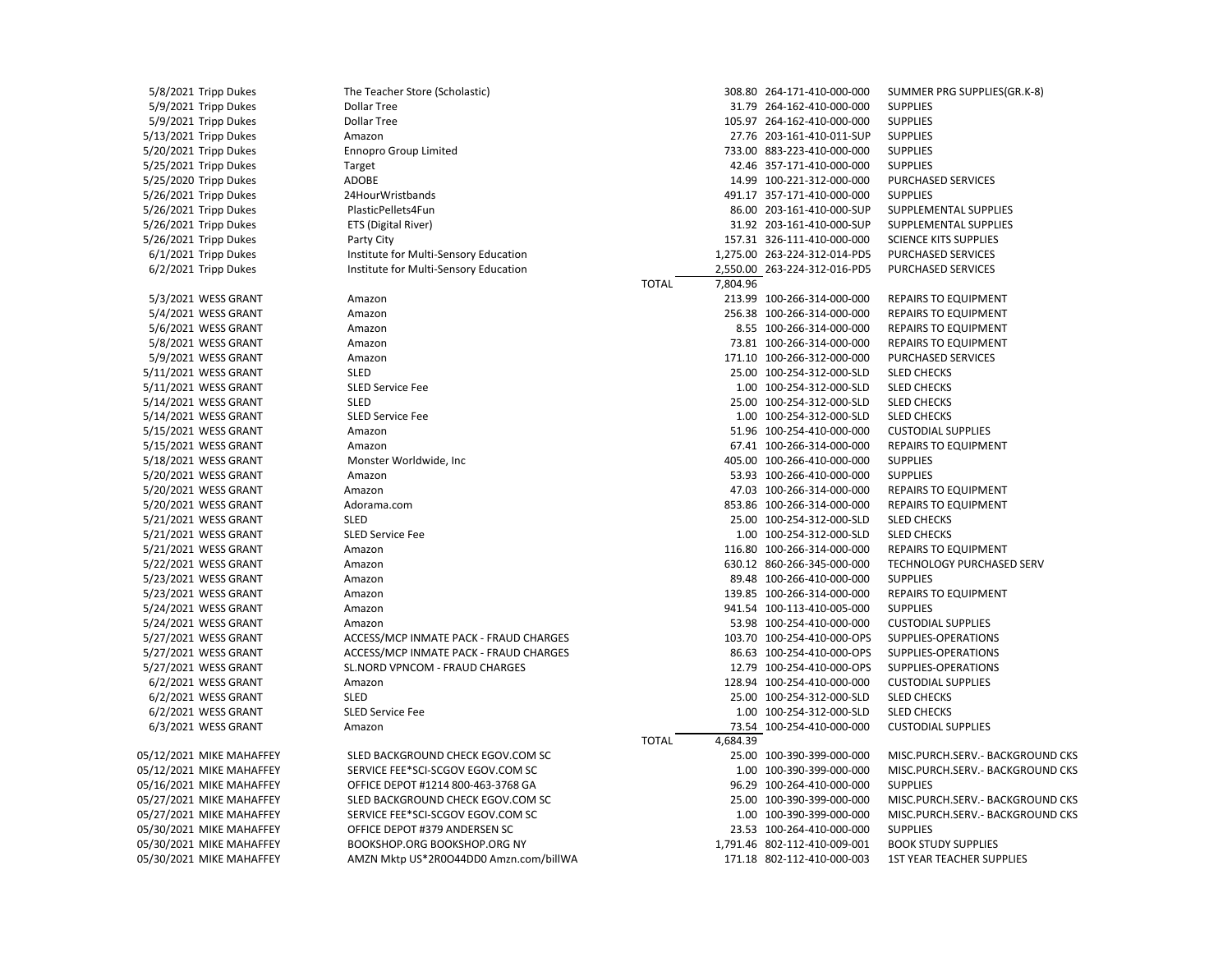5/8/2021 Tripp Dukes The Teacher Store (Scholastic) 308.80 264-171-410-000-000 SUMMER PRG SUPPLIES(GR.K-8) 5/9/2021 Tripp Dukes Dollar Tree 31.79 264-162-410-000-000 SUPPLIES 5/9/2021 Tripp Dukes Dollar Tree 105.97 264-162-410-000-000 SUPPLIES 5/13/2021 Tripp Dukes Amazon 27.76 203-161-410-011-SUP SUPPLIES 5/20/2021 Tripp Dukes Ennopro Group Limited 733.00 883-223-410-000-000 SUPPLIES 5/25/2021 Tripp Dukes Target 42.46 357-171-410-000-000 SUPPLIES 5/25/2020 Tripp Dukes ADOBE 14.99 100-221-312-000-000 PURCHASED SERVICES 5/26/2021 Tripp Dukes 24HourWristbands 491.17 357-171-410-000-000 SUPPLIES 5/26/2021 Tripp Dukes PlasticPellets4Fun 86.00 203-161-410-000-SUP SUPPLEMENTAL SUPPLIES 5/26/2021 Tripp Dukes ETS (Digital River) 31.92 203-161-410-000-SUP SUPPLEMENTAL SUPPLIES 5/26/2021 Tripp Dukes Party City 157.31 326-111-410-000-000 SCIENCE KITS SUPPLIES 6/1/2021 Tripp Dukes Institute for Multi-Sensory Education 1,275.00 263-224-312-014-PD5 PURCHASED SERVICES 6/2/2021 Tripp Dukes Institute for Multi-Sensory Education 2,550.00 263-224-312-016-PD5 PURCHASED SERVICES TOTAL 7,804.96 5/3/2021 WESS GRANT Amazon 213.99 100-266-314-000-000 REPAIRS TO EQUIPMENT 5/4/2021 WESS GRANT Amazon 256.38 100-266-314-000-000 REPAIRS TO EQUIPMENT 5/6/2021 WESS GRANT Amazon 8.55 100-266-314-000-000 REPAIRS TO EQUIPMENT 5/8/2021 WESS GRANT Amazon 73.81 100-266-314-000-000 REPAIRS TO EQUIPMENT 5/9/2021 WESS GRANT Amazon 171.10 100-266-312-000-000 PURCHASED SERVICES 5/11/2021 WESS GRANT SLED 25.00 100-254-312-000-SLD SLED CHECKS 5/11/2021 WESS GRANT SLED Service Fee 1.00 100-254-312-000-SLD SLED CHECKS 5/14/2021 WESS GRANT SLED 25.00 100-254-312-000-SLD SLED CHECKS 5/14/2021 WESS GRANT SLED Service Fee 1.00 100-254-312-000-SLD SLED CHECKS 5/15/2021 WESS GRANT Amazon 51.96 100-254-410-000-000 CUSTODIAL SUPPLIES 5/15/2021 WESS GRANT Amazon 67.41 100-266-314-000-000 REPAIRS TO EQUIPMENT 5/18/2021 WESS GRANT Monster Worldwide, Inc 405.00 100-266-410-000-000 SUPPLIES 5/20/2021 WESS GRANT Amazon 53.93 100-266-410-000-000 SUPPLIES 5/20/2021 WESS GRANT Amazon 47.03 100-266-314-000-000 REPAIRS TO EQUIPMENT 5/20/2021 WESS GRANT Adorama.com 853.86 100-266-314-000-000 REPAIRS TO EQUIPMENT 5/21/2021 WESS GRANT SLED 25.00 100-254-312-000-SLD SLED CHECKS 5/21/2021 WESS GRANT SLED Service Fee 1.00 100-254-312-000-SLD SLED CHECKS 5/21/2021 WESS GRANT Amazon 116.80 100-266-314-000-000 REPAIRS TO EQUIPMENT 5/22/2021 WESS GRANT Amazon 630.12 860-266-345-000-000 TECHNOLOGY PURCHASED SERV 5/23/2021 WESS GRANT Amazon 89.48 100-266-410-000-000 SUPPLIES 5/23/2021 WESS GRANT Amazon 139.85 100-266-314-000-000 REPAIRS TO EQUIPMENT 5/24/2021 WESS GRANT Amazon 941.54 100-113-410-005-000 SUPPLIES 5/24/2021 WESS GRANT Amazon 53.98 100-254-410-000-000 CUSTODIAL SUPPLIES 5/27/2021 WESS GRANT ACCESS/MCP INMATE PACK - FRAUD CHARGES 103.70 100-254-410-000-OPS SUPPLIES-OPERATIONS 5/27/2021 WESS GRANT ACCESS/MCP INMATE PACK - FRAUD CHARGES 86.63 100-254-410-000-OPS SUPPLIES-OPERATIONS 5/27/2021 WESS GRANT SL.NORD VPNCOM - FRAUD CHARGES 12.79 100-254-410-000-OPS SUPPLIES-OPERATIONS 6/2/2021 WESS GRANT Amazon 128.94 100-254-410-000-000 CUSTODIAL SUPPLIES 6/2/2021 WESS GRANT SLED 25.00 100-254-312-000-SLD SLED CHECKS 6/2/2021 WESS GRANT SLED Service Fee 1.00 100-254-312-000-SLD SLED CHECKS 6/3/2021 WESS GRANT Amazon 73.54 100-254-410-000-000 CUSTODIAL SUPPLIES TOTAL 4,684.39 05/12/2021 MIKE MAHAFFEY SLED BACKGROUND CHECK EGOV.COM SC 25.00 100-390-399-000-000 MISC.PURCH.SERV.- BACKGROUND CKS 05/12/2021 MIKE MAHAFFEY SERVICE FEE\*SCI-SCGOV EGOV.COM SC 1.00 100-390-399-000-000 MISC.PURCH.SERV.- BACKGROUND CKS 05/16/2021 MIKE MAHAFFEY OFFICE DEPOT #1214 800-463-3768 GA 96.29 100-264-410-000-000 SUPPLIES 05/27/2021 MIKE MAHAFFEY SLED BACKGROUND CHECK EGOV.COM SC 25.00 100-390-399-000-000 MISC.PURCH.SERV.- BACKGROUND CKS 05/27/2021 MIKE MAHAFFEY SERVICE FEE\*SCI-SCGOV EGOV.COM SC 1.00 100-390-399-000-000 MISC.PURCH.SERV.- BACKGROUND CKS 05/30/2021 MIKE MAHAFFEY OFFICE DEPOT #379 ANDERSEN SC 23.53 100-264-410-000-000 SUPPLIES 05/30/2021 MIKE MAHAFFEY BOOKSHOP.ORG BOOKSHOP.ORG NY 1,791.46 802-112-410-009-001 BOOK STUDY SUPPLIES 05/30/2021 MIKE MAHAFFEY AMZN Mktp US\*2R0O44DD0 Amzn.com/billWA 171.18 802-112-410-000-003 1ST YEAR TEACHER SUPPLIES